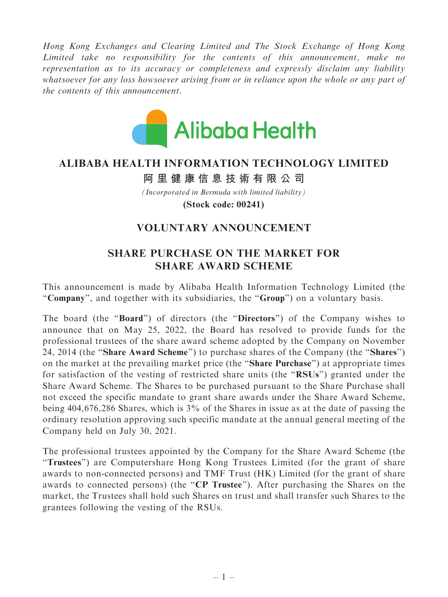Hong Kong Exchanges and Clearing Limited and The Stock Exchange of Hong Kong Limited take no responsibility for the contents of this announcement, make no representation as to its accuracy or completeness and expressly disclaim any liability whatsoever for any loss howsoever arising from or in reliance upon the whole or any part of the contents of this announcement.



## **ALIBABA HEALTH INFORMATION TECHNOLOGY LIMITED**

## **阿里健康信息技術有限公司**

*(Incorporated in Bermuda with limited liability)* **(Stock code: 00241)**

## VOLUNTARY ANNOUNCEMENT

## SHARE PURCHASE ON THE MARKET FOR SHARE AWARD SCHEME

This announcement is made by Alibaba Health Information Technology Limited (the "Company", and together with its subsidiaries, the "Group") on a voluntary basis.

The board (the ''Board'') of directors (the ''Directors'') of the Company wishes to announce that on May 25, 2022, the Board has resolved to provide funds for the professional trustees of the share award scheme adopted by the Company on November 24, 2014 (the ''Share Award Scheme'') to purchase shares of the Company (the ''Shares'') on the market at the prevailing market price (the ''Share Purchase'') at appropriate times for satisfaction of the vesting of restricted share units (the ''RSUs'') granted under the Share Award Scheme. The Shares to be purchased pursuant to the Share Purchase shall not exceed the specific mandate to grant share awards under the Share Award Scheme, being 404,676,286 Shares, which is 3% of the Shares in issue as at the date of passing the ordinary resolution approving such specific mandate at the annual general meeting of the Company held on July 30, 2021.

The professional trustees appointed by the Company for the Share Award Scheme (the ''Trustees'') are Computershare Hong Kong Trustees Limited (for the grant of share awards to non-connected persons) and TMF Trust (HK) Limited (for the grant of share awards to connected persons) (the ''CP Trustee''). After purchasing the Shares on the market, the Trustees shall hold such Shares on trust and shall transfer such Shares to the grantees following the vesting of the RSUs.